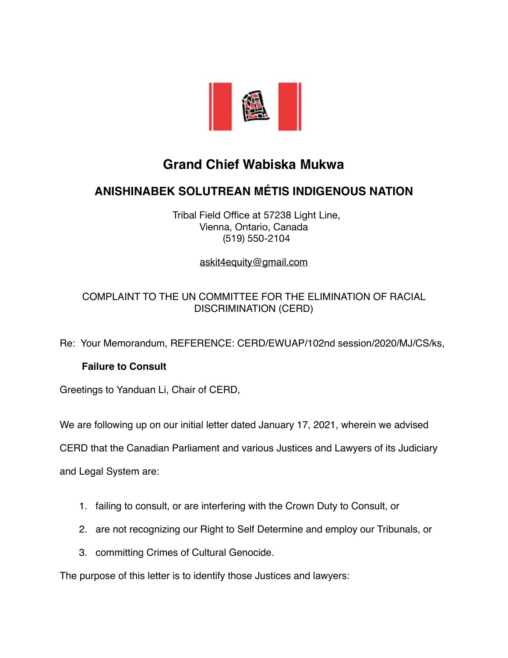

# **Grand Chief Wabiska Mukwa**

## **ANISHINABEK SOLUTREAN MÉTIS INDIGENOUS NATION**

 Tribal Field Office at 57238 Light Line, Vienna, Ontario, Canada (519) 550-2104

[askit4equity@gmail.com](mailto:askit4equity@gmail.com)

## COMPLAINT TO THE UN COMMITTEE FOR THE ELIMINATION OF RACIAL DISCRIMINATION (CERD)

Re: Your Memorandum, REFERENCE: CERD/EWUAP/102nd session/2020/MJ/CS/ks,

## **Failure to Consult**

Greetings to Yanduan Li, Chair of CERD,

We are following up on our initial letter dated January 17, 2021, wherein we advised

CERD that the Canadian Parliament and various Justices and Lawyers of its Judiciary

and Legal System are:

- 1. failing to consult, or are interfering with the Crown Duty to Consult, or
- 2. are not recognizing our Right to Self Determine and employ our Tribunals, or
- 3. committing Crimes of Cultural Genocide.

The purpose of this letter is to identify those Justices and lawyers: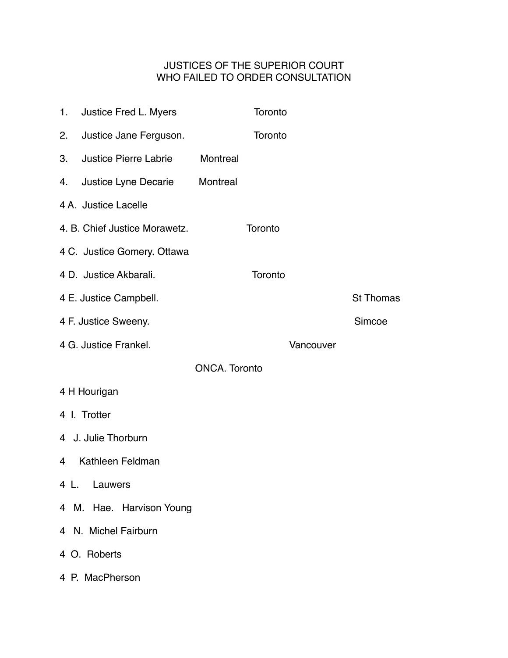## JUSTICES OF THE SUPERIOR COURT WHO FAILED TO ORDER CONSULTATION

| 1.                       | Justice Fred L. Myers         |          | Toronto |           |                  |  |
|--------------------------|-------------------------------|----------|---------|-----------|------------------|--|
| 2.                       | Justice Jane Ferguson.        |          | Toronto |           |                  |  |
| 3.                       | <b>Justice Pierre Labrie</b>  | Montreal |         |           |                  |  |
| 4.                       | Justice Lyne Decarie          | Montreal |         |           |                  |  |
|                          | 4 A. Justice Lacelle          |          |         |           |                  |  |
|                          | 4. B. Chief Justice Morawetz. |          | Toronto |           |                  |  |
|                          | 4 C. Justice Gomery. Ottawa   |          |         |           |                  |  |
|                          | 4 D. Justice Akbarali.        |          | Toronto |           |                  |  |
|                          | 4 E. Justice Campbell.        |          |         |           | <b>St Thomas</b> |  |
|                          | 4 F. Justice Sweeny.          |          |         |           | Simcoe           |  |
|                          | 4 G. Justice Frankel.         |          |         | Vancouver |                  |  |
| <b>ONCA. Toronto</b>     |                               |          |         |           |                  |  |
|                          | 4 H Hourigan                  |          |         |           |                  |  |
|                          | 4 I. Trotter                  |          |         |           |                  |  |
|                          | 4 J. Julie Thorburn           |          |         |           |                  |  |
| 4                        | Kathleen Feldman              |          |         |           |                  |  |
|                          | 4 L. Lauwers                  |          |         |           |                  |  |
| 4 M. Hae. Harvison Young |                               |          |         |           |                  |  |
|                          | 4 N. Michel Fairburn          |          |         |           |                  |  |
|                          | 4 O. Roberts                  |          |         |           |                  |  |
|                          | 4 P. MacPherson               |          |         |           |                  |  |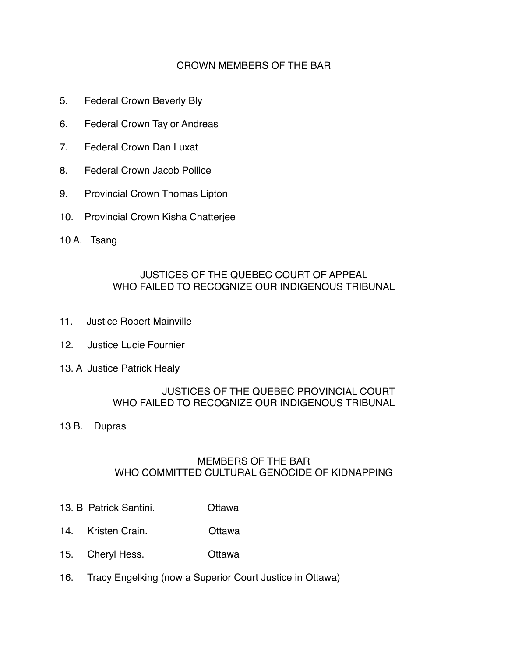## CROWN MEMBERS OF THE BAR

- 5. Federal Crown Beverly Bly
- 6. Federal Crown Taylor Andreas
- 7. Federal Crown Dan Luxat
- 8. Federal Crown Jacob Pollice
- 9. Provincial Crown Thomas Lipton
- 10. Provincial Crown Kisha Chatterjee
- 10 A. Tsang

## JUSTICES OF THE QUEBEC COURT OF APPEAL WHO FAILED TO RECOGNIZE OUR INDIGENOUS TRIBUNAL

- 11. Justice Robert Mainville
- 12. Justice Lucie Fournier
- 13. A Justice Patrick Healy

#### JUSTICES OF THE QUEBEC PROVINCIAL COURT WHO FAILED TO RECOGNIZE OUR INDIGENOUS TRIBUNAL

13 B. Dupras

## MEMBERS OF THE BAR WHO COMMITTED CULTURAL GENOCIDE OF KIDNAPPING

- 13. B Patrick Santini. Ottawa
- 14. Kristen Crain. Ottawa
- 15. Cheryl Hess. Ottawa
- 16. Tracy Engelking (now a Superior Court Justice in Ottawa)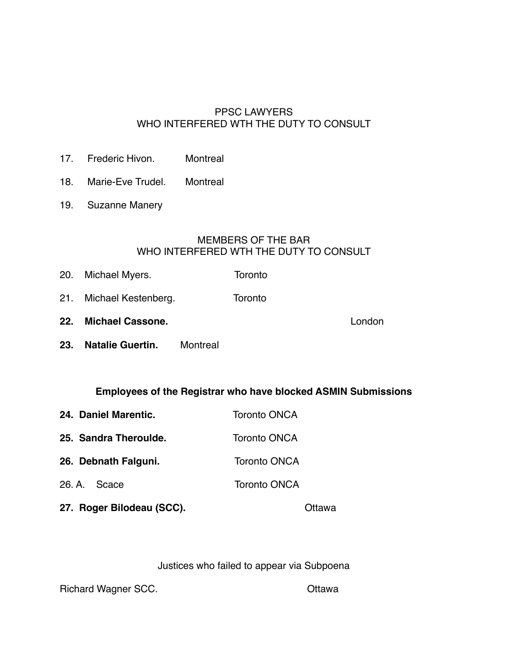## PPSC LAWYERS WHO INTERFERED WTH THE DUTY TO CONSULT

- 17. Frederic Hivon. Montreal
- 18. Marie-Eve Trudel. Montreal
- 19. Suzanne Manery

#### MEMBERS OF THE BAR WHO INTERFERED WTH THE DUTY TO CONSULT

- 20. Michael Myers. Toronto
- 21. Michael Kestenberg. Toronto
- **22. Michael Cassone.** London
- **23. Natalie Guertin.** Montreal

#### **Employees of the Registrar who have blocked ASMIN Submissions**

| 24. Daniel Marentic.      | <b>Toronto ONCA</b> |  |
|---------------------------|---------------------|--|
| 25. Sandra Theroulde.     | <b>Toronto ONCA</b> |  |
| 26. Debnath Falguni.      | <b>Toronto ONCA</b> |  |
| 26. A. Scace              | <b>Toronto ONCA</b> |  |
| 27. Roger Bilodeau (SCC). |                     |  |

Justices who failed to appear via Subpoena

Richard Wagner SCC. **Canadian Control Citawa**